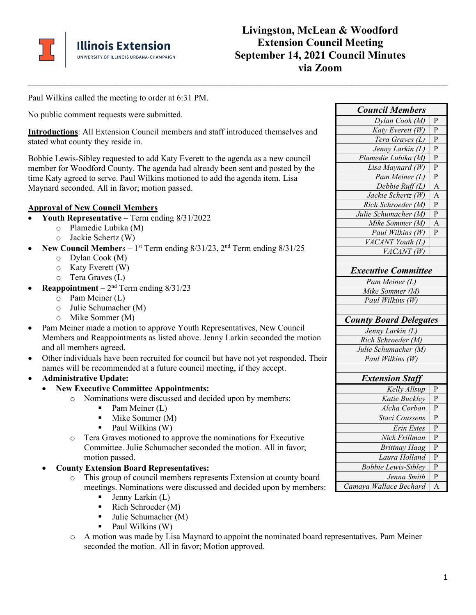

Paul Wilkins called the meeting to order at 6:31 PM.

No public comment requests were submitted.

**Introductions**: All Extension Council members and staff introduced themselves and stated what county they reside in.

**\_\_\_\_\_\_\_\_\_\_\_\_\_\_\_\_\_\_\_\_\_\_\_\_\_\_\_\_\_\_\_\_\_\_\_\_\_\_\_\_\_\_\_\_\_\_\_\_\_\_\_\_\_\_\_\_\_\_\_\_\_\_\_\_\_\_\_\_\_\_\_\_\_\_\_\_\_\_\_\_\_\_\_\_\_\_\_\_\_\_\_\_\_\_\_\_\_\_\_\_\_\_\_\_\_\_\_\_\_\_\_\_\_\_\_\_\_\_\_\_\_\_\_\_\_\_\_\_\_\_\_\_\_\_\_**

Bobbie Lewis-Sibley requested to add Katy Everett to the agenda as a new council member for Woodford County. The agenda had already been sent and posted by the time Katy agreed to serve. Paul Wilkins motioned to add the agenda item. Lisa Maynard seconded. All in favor; motion passed.

## **Approval of New Council Members**

- **Youth Representative –** Term ending 8/31/2022
	- o Plamedie Lubika (M)
	- o Jackie Schertz (W)
- **New Council Members**  $1^{st}$  Term ending  $8/31/23$ ,  $2^{nd}$  Term ending  $8/31/25$ 
	- o Dylan Cook (M)
	- o Katy Everett (W)
	- o Tera Graves (L)
- **Reappointment**  $2<sup>nd</sup>$  Term ending  $8/31/23$ 
	- o Pam Meiner (L)
	- o Julie Schumacher (M)
	- o Mike Sommer (M)
- Pam Meiner made a motion to approve Youth Representatives, New Council Members and Reappointments as listed above. Jenny Larkin seconded the motion and all members agreed.
- Other individuals have been recruited for council but have not yet responded. Their names will be recommended at a future council meeting, if they accept.
- **Administrative Update:**
	- **New Executive Committee Appointments:**
		- o Nominations were discussed and decided upon by members:
			- $\blacksquare$  Pam Meiner (L)
			- $\blacksquare$  Mike Sommer (M)
			- $\blacksquare$  Paul Wilkins (W)
		- o Tera Graves motioned to approve the nominations for Executive Committee. Julie Schumacher seconded the motion. All in favor; motion passed.
	- **County Extension Board Representatives:**
		- o This group of council members represents Extension at county board meetings. Nominations were discussed and decided upon by members:
			- $\blacksquare$  Jenny Larkin (L)
			- Rich Schroeder  $(M)$
			- Julie Schumacher (M)
			- $\blacksquare$  Paul Wilkins (W)
		- o A motion was made by Lisa Maynard to appoint the nominated board representatives. Pam Meiner seconded the motion. All in favor; Motion approved.

| <b>Council Members</b>        |                |
|-------------------------------|----------------|
| Dylan Cook (M)                | $\mathbf{P}$   |
| Katy Everett (W)              | P              |
| Tera Graves (L)               | $\mathbf{P}$   |
| Jenny Larkin (L)              | P              |
| Plamedie Lubika (M)           | P              |
| Lisa Maynard (W)              | P              |
| Pam Meiner (L)                | P              |
| Debbie Ruff (L)               | A              |
| Jackie Schertz (W)            | $\overline{A}$ |
| Rich Schroeder (M)            | ${\bf P}$      |
| Julie Schumacher (M)          | $\mathbf{P}$   |
| Mike Sommer (M)               | $\mathbf{A}$   |
| Paul Wilkins (W)              | P              |
| VACANT Youth (L)              |                |
| VACANT(W)                     |                |
|                               |                |
| <b>Executive Committee</b>    |                |
| Pam Meiner (L)                |                |
| Mike Sommer (M)               |                |
| Paul Wilkins (W)              |                |
|                               |                |
| <b>County Board Delegates</b> |                |
| Jenny Larkin (L)              |                |
| Rich Schroeder (M)            |                |
| Julie Schumacher (M)          |                |
| Paul Wilkins (W)              |                |
|                               |                |
| <b>Extension Staff</b>        |                |
| Kelly Allsup                  | $\mathbf{P}$   |
| Katie Buckley                 | P              |
| Alcha Corban                  | P              |
| Staci Coussens                | P              |
| Erin Estes                    | P              |
| Nick Frillman                 | P              |
| <b>Brittnay Haag</b>          | P              |
| Laura Holland                 | P              |
| <b>Bobbie Lewis-Sibley</b>    | P              |
| Jenna Smith                   | P              |
|                               |                |
| Camaya Wallace Bechard        | $\overline{A}$ |